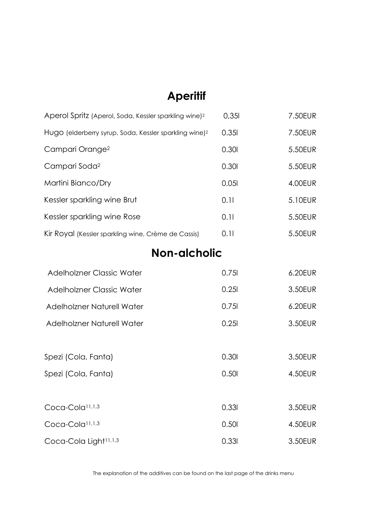# **Aperitif**

| Aperol Spritz (Aperol, Soda, Kessler sparkling wine) <sup>2</sup>  | 0.351 | 7.50EUR |
|--------------------------------------------------------------------|-------|---------|
| Hugo (elderberry syrup, Soda, Kessler sparkling wine) <sup>2</sup> | 0.351 | 7.50EUR |
| Campari Orange <sup>2</sup>                                        | 0.301 | 5.50EUR |
| Campari Soda <sup>2</sup>                                          | 0.301 | 5.50EUR |
| Martini Bianco/Dry                                                 | 0.051 | 4.00EUR |
| Kessler sparkling wine Brut                                        | 0.11  | 5.10EUR |
| Kessler sparkling wine Rose                                        | 0.11  | 5.50EUR |
| Kir Royal (Kessler sparkling wine, Crème de Cassis)                | 0.11  | 5.50EUR |
|                                                                    |       |         |

# **Non-alcholic**

| Adelholzner Classic Water         | 0.751 | 6.20EUR |
|-----------------------------------|-------|---------|
| Adelholzner Classic Water         | 0.251 | 3.50EUR |
| <b>Adelholzner Naturell Water</b> | 0.751 | 6.20EUR |
| Adelholzner Naturell Water        | 0.251 | 3.50EUR |

| Spezi (Cola, Fanta)               | 0.301 | 3.50EUR |
|-----------------------------------|-------|---------|
| Spezi (Cola, Fanta)               | 0.501 | 4.50EUR |
| Coca-Cola <sup>11,1,3</sup>       | 0.331 | 3.50EUR |
| Coca-Cola <sup>11,1,3</sup>       | 0.501 | 4.50EUR |
| Coca-Cola Light <sup>11,1,3</sup> | 0.331 | 3.50EUR |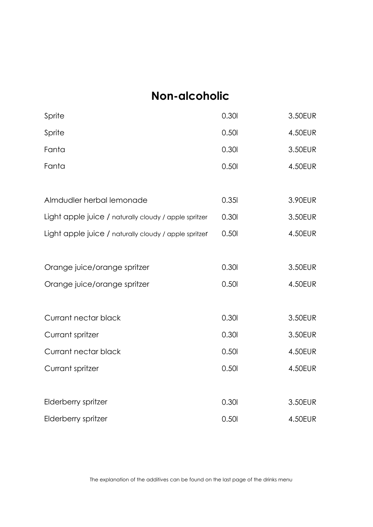# **Non-alcoholic**

| Sprite                                                | 0.301 | 3.50EUR |
|-------------------------------------------------------|-------|---------|
| Sprite                                                | 0.501 | 4.50EUR |
| Fanta                                                 | 0.301 | 3.50EUR |
| Fanta                                                 | 0.501 | 4.50EUR |
|                                                       |       |         |
| Almdudler herbal lemonade                             | 0.351 | 3.90EUR |
| Light apple juice / naturally cloudy / apple spritzer | 0.301 | 3.50EUR |
| Light apple juice / naturally cloudy / apple spritzer | 0.501 | 4.50EUR |
|                                                       |       |         |
| Orange juice/orange spritzer                          | 0.301 | 3.50EUR |
| Orange juice/orange spritzer                          | 0.501 | 4.50EUR |
|                                                       |       |         |
| Currant nectar black                                  | 0.301 | 3.50EUR |
| Currant spritzer                                      | 0.301 | 3.50EUR |
| Currant nectar black                                  | 0.501 | 4.50EUR |
| Currant spritzer                                      | 0.501 | 4.50EUR |
|                                                       |       |         |
| Elderberry spritzer                                   | 0.301 | 3.50EUR |
| Elderberry spritzer                                   | 0.501 | 4.50EUR |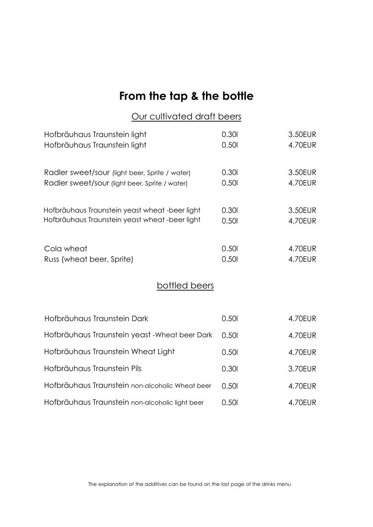# **From the tap & the bottle**

#### Our cultivated draft beers

| Hofbräuhaus Traunstein light                    | 0.301 | 3.50EUR        |
|-------------------------------------------------|-------|----------------|
| Hofbräuhaus Traunstein light                    | 0.501 | 4.70EUR        |
| Radler sweet/sour (light beer, Sprite / water)  | 0.301 | 3.50EUR        |
| Radler sweet/sour (light beer, Sprite / water)  | 0.501 | 4.70EUR        |
| Hofbräuhaus Traunstein yeast wheat -beer light  | 0.301 | 3.50EUR        |
| Hofbräuhaus Traunstein yeast wheat -beer light  | 0.501 | <b>4.70EUR</b> |
| Cola wheat                                      | 0.501 | 4.70EUR        |
| Russ (wheat beer, Sprite)                       | 0.501 | <b>4.70EUR</b> |
| bottled beers                                   |       |                |
| Hofbräuhaus Traunstein Dark                     | 0.501 | 4.70EUR        |
| Hofbräuhaus Traunstein yeast - Wheat beer Dark  | 0.501 | <b>4.70EUR</b> |
| Hofbräuhaus Traunstein Wheat Light              | 0.501 | 4.70EUR        |
| Hofbräuhaus Traunstein Pils                     | 0.301 | 3.70EUR        |
| Hofbräuhaus Traunstein non-alcoholic Wheat beer | 0.501 | <b>4.70EUR</b> |
| Hofbräuhaus Traunstein non-alcoholic light beer | 0.501 | 4.70EUR        |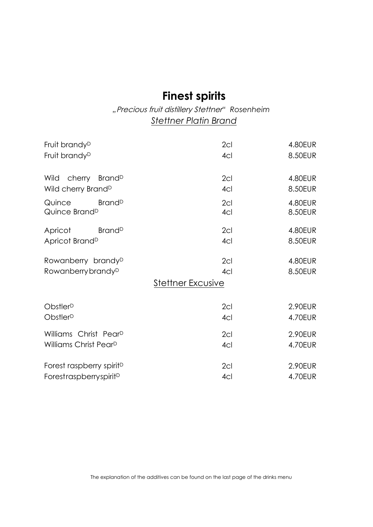## **Finest spirits**

#### *"*Precious fruit distillery Stettner*" Rosenheim Stettner Platin Brand*

| Fruit brandy <sup>D</sup>                                              | 2cl                                    | 4.80EUR            |
|------------------------------------------------------------------------|----------------------------------------|--------------------|
| Fruit brandy <sup>D</sup>                                              | 4 <sub>CI</sub>                        | 8.50EUR            |
| cherry Brand <sup>D</sup><br>Wild<br>Wild cherry Brand <sup>D</sup>    | 2 <sub>cl</sub><br>4cl                 | 4.80EUR<br>8.50EUR |
| <b>Brand</b> <sup>D</sup><br>Quince<br>Quince Brand <sup>D</sup>       | 2cl<br>4cl                             | 4.80EUR<br>8.50EUR |
| <b>Brand</b> <sup>D</sup><br>Apricot<br>Apricot Brand <sup>D</sup>     | 2cl<br>4cl                             | 4.80EUR<br>8.50EUR |
| Rowanberry brandy <sup>D</sup><br>Rowanberry brandy <sup>D</sup>       | 2cl<br>4cl<br><b>Stettner Excusive</b> | 4.80EUR<br>8.50EUR |
| Obstler <sup>D</sup><br>Obstler <sup>D</sup>                           | 2cl<br>4 <sub>CI</sub>                 | 2.90EUR<br>4.70EUR |
| Williams Christ Pear <sup>D</sup><br>Williams Christ Pear <sup>D</sup> | 2cl<br>4 <sub>CI</sub>                 | 2.90EUR<br>4.70EUR |
| Forest raspberry spirit <sup>D</sup><br>ForestraspberryspiritD         | 2 <sub>cl</sub><br>4cl                 | 2.90EUR<br>4.70EUR |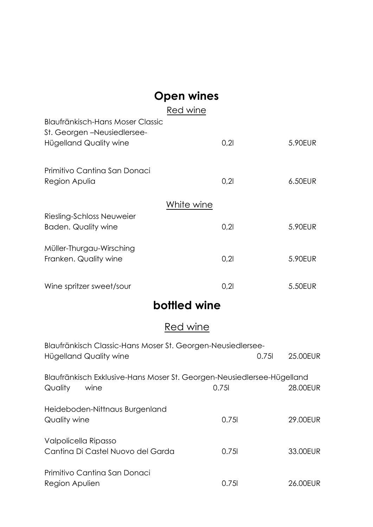# **Open wines**

|                                                        | Red wine   |      |         |
|--------------------------------------------------------|------------|------|---------|
| Blaufränkisch-Hans Moser Classic                       |            |      |         |
| St. Georgen – Neusiedlersee-<br>Hügelland Quality wine |            | 0,21 | 5.90EUR |
|                                                        |            |      |         |
| Primitivo Cantina San Donaci                           |            |      |         |
| Region Apulia                                          |            | 0,21 | 6.50EUR |
|                                                        | White wine |      |         |
| Riesling-Schloss Neuweier                              |            |      |         |
| Baden. Quality wine                                    |            | 0,21 | 5.90EUR |
| Müller-Thurgau-Wirsching                               |            |      |         |
| Franken. Quality wine                                  |            | 0,21 | 5.90EUR |
| Wine spritzer sweet/sour                               |            | 0,21 | 5.50EUR |
|                                                        |            |      |         |

## **bottled wine**

## Red wine

| Blaufränkisch Classic-Hans Moser St. Georgen-Neusiedlersee-<br>Hügelland Quality wine     |       | 0.751 | 25.00EUR |
|-------------------------------------------------------------------------------------------|-------|-------|----------|
| Blaufränkisch Exklusive-Hans Moser St. Georgen-Neusiedlersee-Hügelland<br>Quality<br>wine | 0.751 |       | 28.00EUR |
| Heideboden-Nittnaus Burgenland<br>Quality wine                                            | 0.751 |       | 29.00EUR |
| Valpolicella Ripasso<br>Cantina Di Castel Nuovo del Garda                                 | 0.751 |       | 33,00EUR |
| Primitivo Cantina San Donaci<br>Region Apulien                                            | 0.751 |       | 26.00EUR |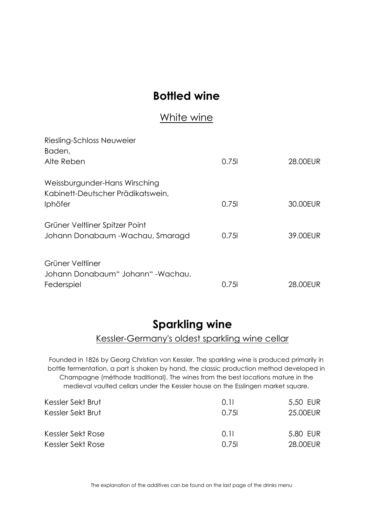## **Bottled wine**

#### White wine

| Riesling-Schloss Neuweier<br>Baden,                                                  |       |          |
|--------------------------------------------------------------------------------------|-------|----------|
| Alte Reben                                                                           | 0.751 | 28.00EUR |
| Weissburgunder-Hans Wirsching<br>Kabinett-Deutscher Prädikatswein,<br><b>Iphöfer</b> | 0.751 | 30.00EUR |
| Grüner Veltliner Spitzer Point<br>Johann Donabaum - Wachau, Smaragd                  | 0.751 | 39.00EUR |
| Grüner Veltliner<br>Johann Donabaum" Johann" - Wachau,<br>Federspiel                 | 0.751 | 28.00FUR |

### **Sparkling wine**

#### Kessler-Germany's oldest sparkling wine cellar

Founded in 1826 by Georg Christian von Kessler. The sparkling wine is produced primarily in bottle fermentation, a part is shaken by hand, the classic production method developed in Champagne (méthode traditional). The wines from the best locations mature in the medieval vaulted cellars under the Kessler house on the Esslingen market square.

| Kessler Sekt Brut | 0 H   | 5.50 EUR |
|-------------------|-------|----------|
| Kessler Sekt Brut | 0.751 | 25.00EUR |
|                   |       |          |
| Kessler Sekt Rose | 0 11  | 5.80 EUR |
| Kessler Sekt Rose | 0.751 | 28.00EUR |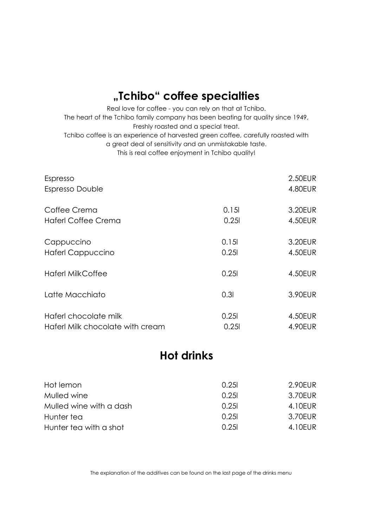## **"Tchibo" coffee specialties**

Real love for coffee - you can rely on that at Tchibo. The heart of the Tchibo family company has been beating for quality since 1949, Freshly roasted and a special treat. Tchibo coffee is an experience of harvested green coffee, carefully roasted with a great deal of sensitivity and an unmistakable taste. This is real coffee enjoyment in Tchibo quality!

| Espresso<br>Espresso Double      |       | 2.50EUR<br>4.80EUR |
|----------------------------------|-------|--------------------|
| Coffee Crema                     | 0.151 | 3.20EUR            |
| <b>Haferl Coffee Crema</b>       | 0.251 | 4.50EUR            |
| Cappuccino                       | 0.151 | 3.20EUR            |
| <b>Haferl Cappuccino</b>         | 0.251 | 4.50EUR            |
| <b>Haferl MilkCoffee</b>         | 0.251 | 4.50EUR            |
| Latte Macchiato                  | 0.31  | 3.90EUR            |
| Haferl chocolate milk            | 0.251 | 4.50EUR            |
| Haferl Milk chocolate with cream | 0.251 | 4.90EUR            |

#### **Hot drinks**

| Hot lemon               | 0.251 | 2.90EUR |
|-------------------------|-------|---------|
| Mulled wine             | 0.251 | 3.70EUR |
| Mulled wine with a dash | 0.251 | 4.10EUR |
| Hunter tea              | 0.251 | 3.70EUR |
| Hunter tea with a shot  | 0.251 | 4.10EUR |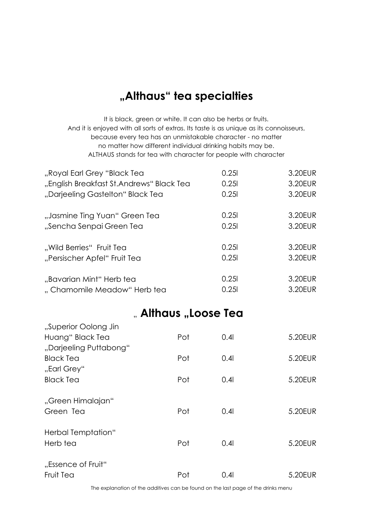## **"Althaus" tea specialties**

It is black, green or white. It can also be herbs or fruits. And it is enjoyed with all sorts of extras. Its taste is as unique as its connoisseurs, because every tea has an unmistakable character - no matter no matter how different individual drinking habits may be. ALTHAUS stands for tea with character for people with character

| "Royal Earl Grey "Black Tea              | 0.251 | 3.20EUR |
|------------------------------------------|-------|---------|
| "English Breakfast St.Andrews" Black Tea | 0.251 | 3.20EUR |
| "Darjeeling Gastelton" Black Tea         | 0.251 | 3.20EUR |
| "Jasmine Ting Yuan" Green Tea            | 0.251 | 3.20EUR |
| "Sencha Senpai Green Tea                 | 0.251 | 3.20EUR |
| "Wild Berries" Fruit Tea                 | 0.251 | 3.20EUR |
| "Persischer Apfel" Fruit Tea             | 0.251 | 3.20EUR |
| "Bavarian Mint" Herb tea                 | 0.251 | 3.20EUR |
| "Chamomile Meadow" Herb tea              | 0.251 | 3.20EUR |

#### " **Althaus "Loose Tea**

| "Superior Oolong Jin            |     |                  |         |
|---------------------------------|-----|------------------|---------|
| Huang" Black Tea                | Pot | 0.4 <sub>l</sub> | 5.20EUR |
| "Darjeeling Puttabong"          |     |                  |         |
| <b>Black Tea</b><br>"Earl Grey" | Pot | 0.4              | 5.20EUR |
| <b>Black Tea</b>                | Pot | 0.4 <sub>l</sub> | 5.20EUR |
| "Green Himalajan"<br>Green Tea  | Pot | 0.41             | 5.20EUR |
| Herbal Temptation"<br>Herb tea  | Pot | 0.4 <sub>l</sub> | 5.20EUR |
| "Essence of Fruit"<br>Fruit Tea | Pot | 0.4 <sub>l</sub> | 5.20EUR |